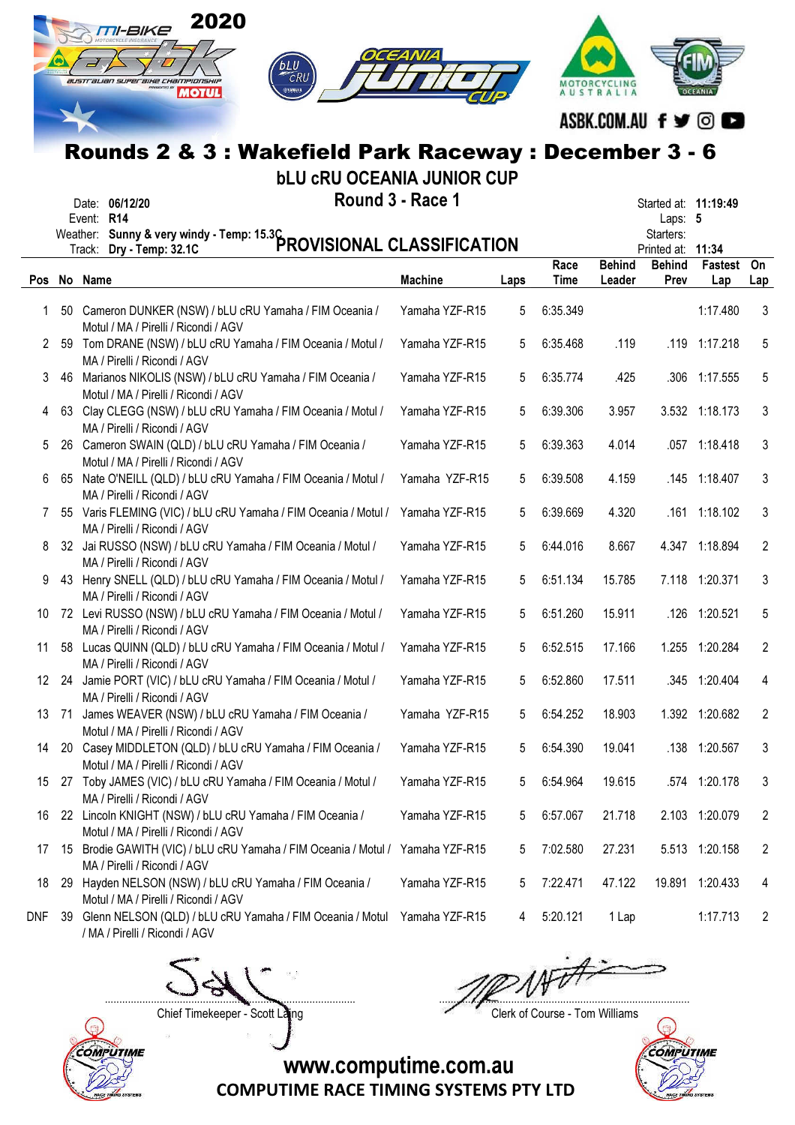|              |     | 2020<br>M-BIKE<br>CRU<br>austrauan superaixe cxampionsxip<br><b>MOTUL</b>                                                       |                  |      |          | <b>AUSTRALIA</b> |                                    |                      |                |
|--------------|-----|---------------------------------------------------------------------------------------------------------------------------------|------------------|------|----------|------------------|------------------------------------|----------------------|----------------|
|              |     |                                                                                                                                 |                  |      |          |                  |                                    | ASBK.COM.AU f y © O  |                |
|              |     |                                                                                                                                 |                  |      |          |                  |                                    |                      |                |
|              |     | Rounds 2 & 3 : Wakefield Park Raceway : December 3 - 6<br><b>bLU CRU OCEANIA JUNIOR CUP</b><br>Date: 06/12/20<br>Event: R14     | Round 3 - Race 1 |      |          |                  | Laps: 5                            | Started at: 11:19:49 |                |
|              |     | Weather: Sunny & very windy - Temp: 15.3C<br>PROVISIONAL CLASSIFICATION                                                         |                  |      |          |                  | Starters:                          |                      |                |
|              |     |                                                                                                                                 |                  |      | Race     | <b>Behind</b>    | Printed at: 11:34<br><b>Behind</b> | Fastest On           |                |
|              |     | Pos No Name                                                                                                                     | <b>Machine</b>   | Laps | Time     | Leader           | Prev                               | Lap                  | Lap            |
| 1.           |     | 50 Cameron DUNKER (NSW) / bLU cRU Yamaha / FIM Oceania /<br>Motul / MA / Pirelli / Ricondi / AGV                                | Yamaha YZF-R15   | 5    | 6:35.349 |                  |                                    | 1:17.480             | 3              |
| $\mathbf{2}$ |     | 59 Tom DRANE (NSW) / bLU cRU Yamaha / FIM Oceania / Motul /<br>MA / Pirelli / Ricondi / AGV                                     | Yamaha YZF-R15   | 5    | 6:35.468 | .119             |                                    | .119 1:17.218        | 5              |
| 3.           |     | 46 Marianos NIKOLIS (NSW) / bLU cRU Yamaha / FIM Oceania /<br>Motul / MA / Pirelli / Ricondi / AGV                              | Yamaha YZF-R15   | 5    | 6:35.774 | .425             |                                    | .306 1:17.555        | 5              |
| 4            |     | 63 Clay CLEGG (NSW) / bLU cRU Yamaha / FIM Oceania / Motul /<br>MA / Pirelli / Ricondi / AGV                                    | Yamaha YZF-R15   | 5    | 6:39.306 | 3.957            |                                    | 3.532 1:18.173       | 3              |
| 5.           |     | 26 Cameron SWAIN (QLD) / bLU cRU Yamaha / FIM Oceania /<br>Motul / MA / Pirelli / Ricondi / AGV                                 | Yamaha YZF-R15   | 5    | 6:39.363 | 4.014            |                                    | .057 1:18.418        | 3              |
| 6.           |     | 65 Nate O'NEILL (QLD) / bLU cRU Yamaha / FIM Oceania / Motul /                                                                  | Yamaha YZF-R15   | 5    | 6:39.508 | 4.159            |                                    | .145 1:18.407        | 3              |
| 7            |     | MA / Pirelli / Ricondi / AGV<br>55 Varis FLEMING (VIC) / bLU cRU Yamaha / FIM Oceania / Motul /<br>MA / Pirelli / Ricondi / AGV | Yamaha YZF-R15   | 5    | 6:39.669 | 4.320            |                                    | .161 1:18.102        | 3              |
| 8            |     | 32 Jai RUSSO (NSW) / bLU cRU Yamaha / FIM Oceania / Motul /<br>MA / Pirelli / Ricondi / AGV                                     | Yamaha YZF-R15   | 5    | 6:44.016 | 8.667            |                                    | 4.347 1:18.894       | 2              |
| 9            | 43  | Henry SNELL (QLD) / bLU cRU Yamaha / FIM Oceania / Motul /<br>MA / Pirelli / Ricondi / AGV                                      | Yamaha YZF-R15   | 5    | 6:51.134 | 15.785           |                                    | 7.118 1:20.371       | 3              |
| 10           |     | 72 Levi RUSSO (NSW) / bLU cRU Yamaha / FIM Oceania / Motul /<br>MA / Pirelli / Ricondi / AGV                                    | Yamaha YZF-R15   | 5    | 6:51.260 | 15.911           |                                    | .126 1:20.521        | 5              |
| 11           |     | 58 Lucas QUINN (QLD) / bLU cRU Yamaha / FIM Oceania / Motul /<br>MA / Pirelli / Ricondi / AGV                                   | Yamaha YZF-R15   | 5    | 6:52.515 | 17.166           |                                    | 1.255 1:20.284       | 2              |
| 12           |     | 24 Jamie PORT (VIC) / bLU cRU Yamaha / FIM Oceania / Motul /<br>MA / Pirelli / Ricondi / AGV                                    | Yamaha YZF-R15   | 5    | 6:52.860 | 17.511           |                                    | .345 1:20.404        | 4              |
| 13           | -71 | James WEAVER (NSW) / bLU cRU Yamaha / FIM Oceania /<br>Motul / MA / Pirelli / Ricondi / AGV                                     | Yamaha YZF-R15   | 5    | 6:54.252 | 18.903           |                                    | 1.392 1:20.682       | $\overline{2}$ |
| 14           |     | 20 Casey MIDDLETON (QLD) / bLU cRU Yamaha / FIM Oceania /<br>Motul / MA / Pirelli / Ricondi / AGV                               | Yamaha YZF-R15   | 5    | 6:54.390 | 19.041           |                                    | .138 1:20.567        | 3              |
| 15           | 27  | Toby JAMES (VIC) / bLU cRU Yamaha / FIM Oceania / Motul /<br>MA / Pirelli / Ricondi / AGV                                       | Yamaha YZF-R15   | 5    | 6:54.964 | 19.615           |                                    | .574 1:20.178        | 3              |
| 16           |     | 22 Lincoln KNIGHT (NSW) / bLU cRU Yamaha / FIM Oceania /<br>Motul / MA / Pirelli / Ricondi / AGV                                | Yamaha YZF-R15   | 5    | 6:57.067 | 21.718           |                                    | 2.103 1:20.079       | 2              |
| 17           |     | 15 Brodie GAWITH (VIC) / bLU cRU Yamaha / FIM Oceania / Motul / Yamaha YZF-R15<br>MA / Pirelli / Ricondi / AGV                  |                  | 5    | 7:02.580 | 27.231           |                                    | 5.513 1:20.158       | 2              |
| 18           |     | 29 Hayden NELSON (NSW) / bLU cRU Yamaha / FIM Oceania /<br>Motul / MA / Pirelli / Ricondi / AGV                                 | Yamaha YZF-R15   | 5    | 7:22.471 | 47.122           |                                    | 19.891 1:20.433      | 4              |
| DNF          |     | 39 Glenn NELSON (QLD) / bLU cRU Yamaha / FIM Oceania / Motul Yamaha YZF-R15<br>/ MA / Pirelli / Ricondi / AGV                   |                  | 4    | 5:20.121 | 1 Lap            |                                    | 1:17.713             | 2              |



....................................................................................... .......................................................................................

Chief Timekeeper - Scott Laing Chief Timekeeper - Scott Laing



COMPUTIME RACE TIMING SYSTEMS PTY LTD

www.computime.com.au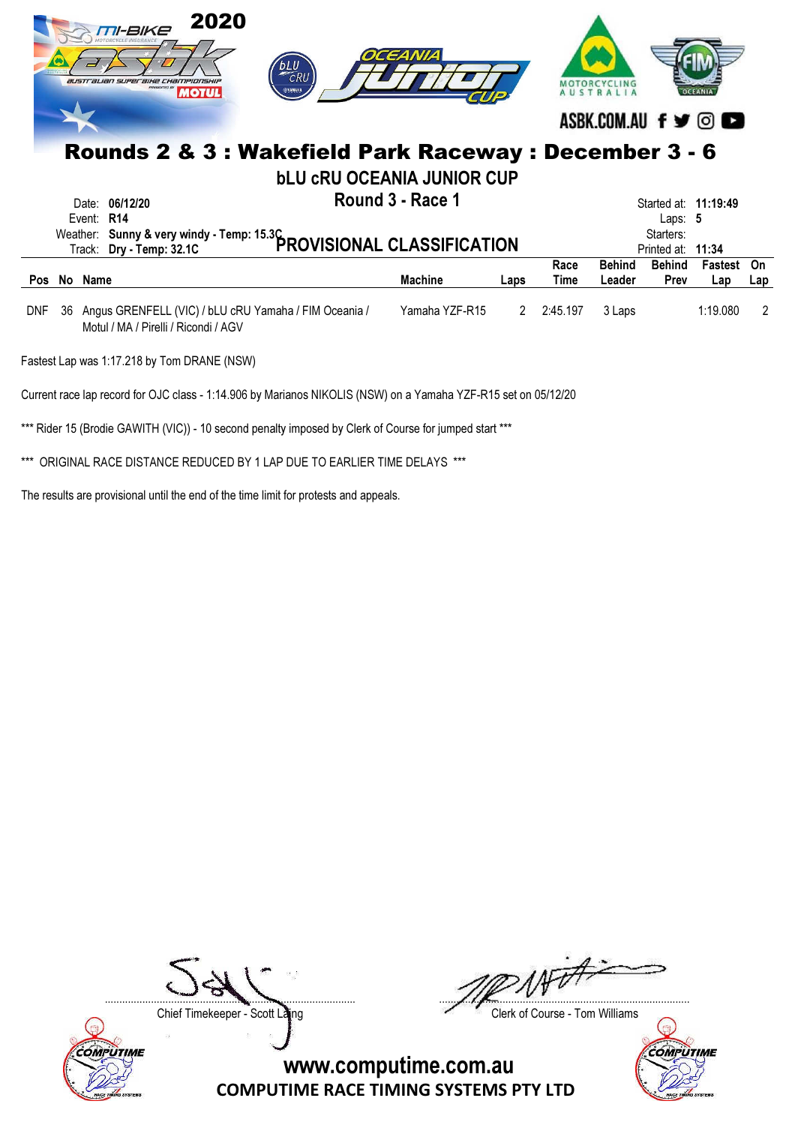|            |    |            | 2020<br>TI-BIKE<br>australian superaine championshi.<br><b>MOTUL</b>                          | CRU | OCEANIA                           |      |              | ASBK.COM.AU f y ©       |                                                                     |                |           |
|------------|----|------------|-----------------------------------------------------------------------------------------------|-----|-----------------------------------|------|--------------|-------------------------|---------------------------------------------------------------------|----------------|-----------|
|            |    |            | Rounds 2 & 3 : Wakefield Park Raceway : December 3 - 6                                        |     | <b>bLU CRU OCEANIA JUNIOR CUP</b> |      |              |                         |                                                                     |                |           |
|            |    | Event: R14 | Date: 06/12/20<br>Weather: Sunny & very windy - Temp: 15.3C<br>PROVISIONAL CLASSIFICATION     |     | Round 3 - Race 1                  |      |              |                         | Started at: 11:19:49<br>Laps: $5$<br>Starters:<br>Printed at: 11:34 |                |           |
| <b>Pos</b> |    | No Name    |                                                                                               |     | <b>Machine</b>                    | Laps | Race<br>Time | <b>Behind</b><br>Leader | <b>Behind</b><br><b>Prev</b>                                        | Fastest<br>Lap | On<br>Lap |
| <b>DNF</b> | 36 |            | Angus GRENFELL (VIC) / bLU cRU Yamaha / FIM Oceania /<br>Motul / MA / Pirelli / Ricondi / AGV |     | Yamaha YZF-R15                    | 2    | 2:45.197     | 3 Laps                  |                                                                     | 1:19.080       | 2         |

Fastest Lap was 1:17.218 by Tom DRANE (NSW)

Current race lap record for OJC class - 1:14.906 by Marianos NIKOLIS (NSW) on a Yamaha YZF-R15 set on 05/12/20

\*\*\* Rider 15 (Brodie GAWITH (VIC)) - 10 second penalty imposed by Clerk of Course for jumped start \*\*\*

\*\*\* ORIGINAL RACE DISTANCE REDUCED BY 1 LAP DUE TO EARLIER TIME DELAYS \*\*\*

The results are provisional until the end of the time limit for protests and appeals.



....................................................................................... .......................................................................................

Chief Timekeeper - Scott Laing Chief Timekeeper - Scott Laing

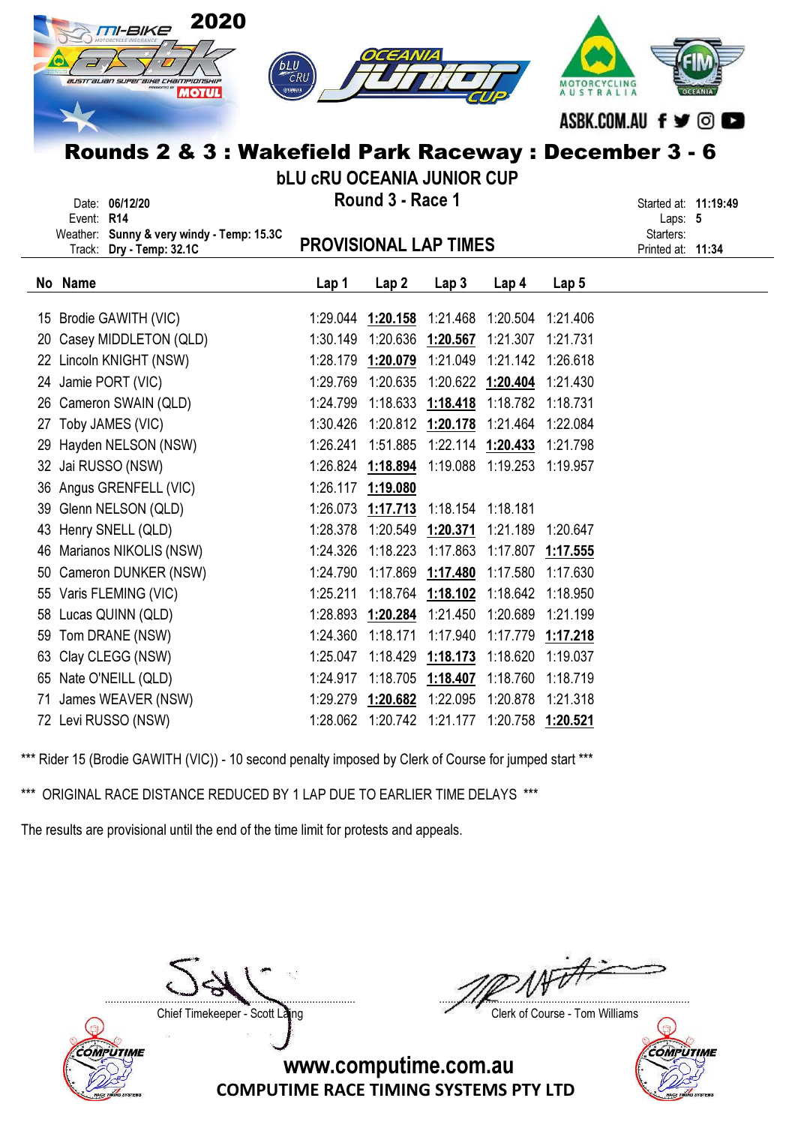|    | 2020<br><b>M-BIKE</b><br>bLU<br>australian superaine championship<br><b>MOTUL</b><br>Rounds 2 & 3 : Wakefield Park Raceway : December 3 - 6 | CRU<br><b>bLU CRU OCEANIA JUNIOR CUP</b> |                                        |                            |                                                  | MOTORCYCLING<br>AUSTRALIA | ASBK.COM.AU f y © O                       |  |
|----|---------------------------------------------------------------------------------------------------------------------------------------------|------------------------------------------|----------------------------------------|----------------------------|--------------------------------------------------|---------------------------|-------------------------------------------|--|
|    | Date: 06/12/20                                                                                                                              |                                          | Round 3 - Race 1                       |                            |                                                  |                           | Started at: 11:19:49                      |  |
|    | Event: R14<br>Weather: Sunny & very windy - Temp: 15.3C<br>Track: Dry - Temp: 32.1C                                                         | <b>PROVISIONAL LAP TIMES</b>             |                                        |                            |                                                  |                           | Laps: 5<br>Starters:<br>Printed at: 11:34 |  |
|    | No Name                                                                                                                                     | Lap 1                                    | Lap <sub>2</sub>                       | Lap <sub>3</sub>           | Lap <sub>4</sub>                                 | Lap 5                     |                                           |  |
|    | 15 Brodie GAWITH (VIC)                                                                                                                      |                                          | 1:29.044 1:20.158                      |                            | 1:21.468 1:20.504 1:21.406                       |                           |                                           |  |
|    | 20 Casey MIDDLETON (QLD)                                                                                                                    |                                          |                                        |                            | 1:30.149  1:20.636  1:20.567  1:21.307  1:21.731 |                           |                                           |  |
|    | 22 Lincoln KNIGHT (NSW)                                                                                                                     |                                          |                                        |                            | 1:28.179 1:20.079 1:21.049 1:21.142 1:26.618     |                           |                                           |  |
|    | 24 Jamie PORT (VIC)                                                                                                                         |                                          | 1:29.769 1:20.635                      |                            | 1:20.622 1:20.404 1:21.430                       |                           |                                           |  |
|    | 26 Cameron SWAIN (QLD)                                                                                                                      |                                          |                                        |                            | 1:24.799  1:18.633  1:18.418  1:18.782  1:18.731 |                           |                                           |  |
|    | 27 Toby JAMES (VIC)                                                                                                                         |                                          |                                        |                            | 1:30.426 1:20.812 1:20.178 1:21.464 1:22.084     |                           |                                           |  |
|    | 29 Hayden NELSON (NSW)                                                                                                                      | 1:26.241                                 | 1:51.885                               |                            | 1:22.114 1:20.433                                | 1:21.798                  |                                           |  |
|    | 32 Jai RUSSO (NSW)                                                                                                                          |                                          | 1:26.824 1:18.894                      |                            | 1:19.088 1:19.253 1:19.957                       |                           |                                           |  |
|    | 36 Angus GRENFELL (VIC)                                                                                                                     |                                          | 1:26.117 1:19.080                      |                            |                                                  |                           |                                           |  |
|    | 39 Glenn NELSON (QLD)                                                                                                                       | 1:26.073                                 | 1:17.713                               | 1:18.154 1:18.181          |                                                  |                           |                                           |  |
|    | 43 Henry SNELL (QLD)                                                                                                                        |                                          | 1:28.378  1:20.549  1:20.371  1:21.189 |                            |                                                  | 1:20.647                  |                                           |  |
|    | 46 Marianos NIKOLIS (NSW)                                                                                                                   | 1:24.326                                 |                                        | 1:18.223 1:17.863          | 1:17.807 1:17.555                                |                           |                                           |  |
|    | 50 Cameron DUNKER (NSW)                                                                                                                     | 1:24.790                                 |                                        | 1:17.869 1:17.480          | 1:17.580                                         | 1:17.630                  |                                           |  |
|    | 55 Varis FLEMING (VIC)                                                                                                                      | 1:25.211                                 |                                        | 1:18.764 1:18.102 1:18.642 |                                                  | 1:18.950                  |                                           |  |
|    | 58 Lucas QUINN (QLD)                                                                                                                        | 1:28.893                                 |                                        |                            | 1:20.284 1:21.450 1:20.689 1:21.199              |                           |                                           |  |
|    | 59 Tom DRANE (NSW)                                                                                                                          | 1:24.360                                 | 1:18.171                               | 1:17.940                   |                                                  | 1:17.779 1:17.218         |                                           |  |
| 63 | Clay CLEGG (NSW)                                                                                                                            | 1:25.047                                 |                                        |                            | 1:18.429 1:18.173 1:18.620 1:19.037              |                           |                                           |  |
|    | 65 Nate O'NEILL (QLD)                                                                                                                       | 1:24.917                                 |                                        |                            |                                                  | 1:18.719                  |                                           |  |

71 James WEAVER (NSW) 1:29.279 1:20.682 1:22.095 1:20.878 1:21.318 72 Levi RUSSO (NSW) 1:28.062 1:20.742 1:21.177 1:20.758 1:20.521

\*\*\* ORIGINAL RACE DISTANCE REDUCED BY 1 LAP DUE TO EARLIER TIME DELAYS \*\*\*

The results are provisional until the end of the time limit for protests and appeals.



....................................................................................... .......................................................................................

Chief Timekeeper - Scott Laing Chief Timekeeper - Scott Laing

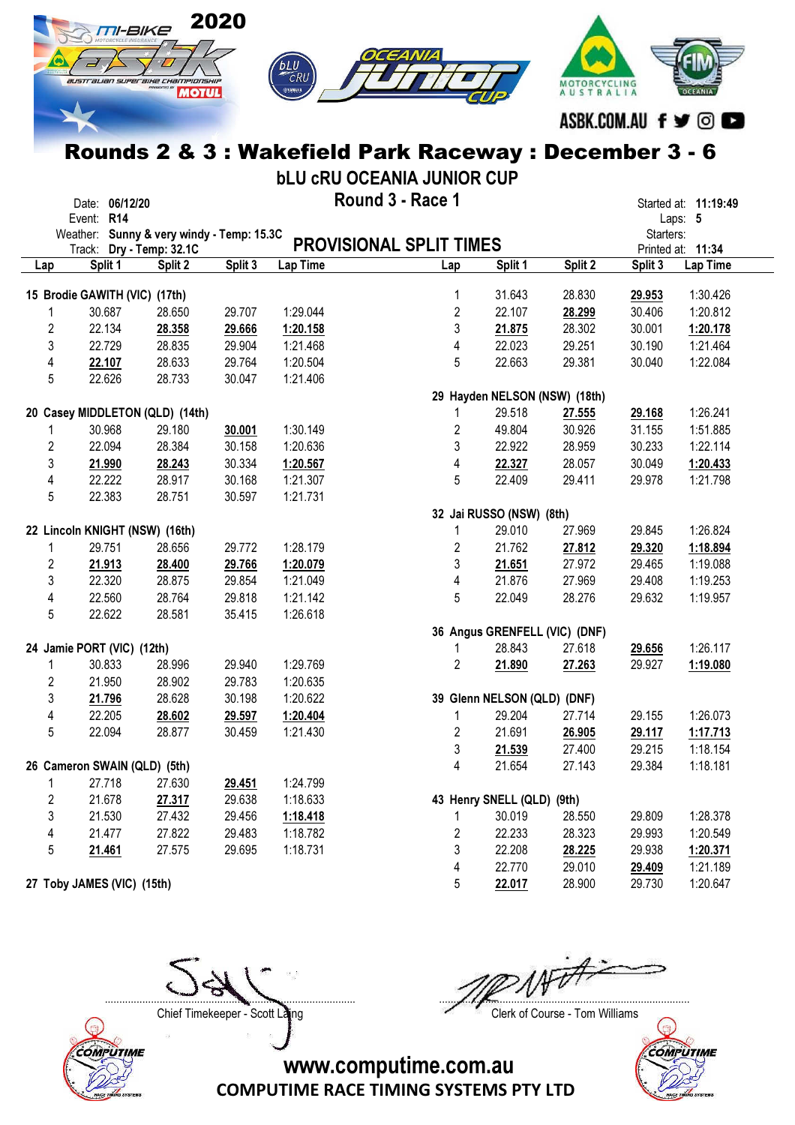

bLU cRU OCEANIA JUNIOR CUP

|                | Date: 06/12/20                            |         |         |          | Round 3 - Race 1               |                               |         |           | Started at: 11:19:49 |
|----------------|-------------------------------------------|---------|---------|----------|--------------------------------|-------------------------------|---------|-----------|----------------------|
|                | Event: R14                                |         |         |          |                                |                               |         |           | Laps: 5              |
|                | Weather: Sunny & very windy - Temp: 15.3C |         |         |          |                                |                               |         | Starters: |                      |
|                | Track: Dry - Temp: 32.1C                  |         |         |          | <b>PROVISIONAL SPLIT TIMES</b> |                               |         |           | Printed at: 11:34    |
| Lap            | Split 1                                   | Split 2 | Split 3 | Lap Time | Lap                            | Split 1                       | Split 2 | Split 3   | Lap Time             |
|                | 15 Brodie GAWITH (VIC) (17th)             |         |         |          | 1                              | 31.643                        | 28.830  | 29.953    | 1:30.426             |
|                | 30.687                                    | 28.650  | 29.707  | 1:29.044 | $\overline{2}$                 | 22.107                        | 28.299  | 30.406    | 1:20.812             |
| $\overline{2}$ | 22.134                                    | 28.358  | 29.666  | 1:20.158 | 3                              | 21.875                        | 28.302  | 30.001    | 1:20.178             |
| 3              | 22.729                                    | 28.835  | 29.904  | 1:21.468 | 4                              | 22.023                        | 29.251  | 30.190    | 1:21.464             |
| 4              | 22.107                                    | 28.633  | 29.764  | 1:20.504 | 5                              | 22.663                        | 29.381  | 30.040    | 1:22.084             |
| 5              | 22.626                                    | 28.733  | 30.047  | 1:21.406 |                                |                               |         |           |                      |
|                |                                           |         |         |          |                                | 29 Hayden NELSON (NSW) (18th) |         |           |                      |
|                | 20 Casey MIDDLETON (QLD) (14th)           |         |         |          | 1                              | 29.518                        | 27.555  | 29.168    | 1:26.241             |
|                | 30.968                                    | 29.180  | 30.001  | 1:30.149 | $\overline{c}$                 | 49.804                        | 30.926  | 31.155    | 1:51.885             |
| $\overline{c}$ | 22.094                                    | 28.384  | 30.158  | 1:20.636 | 3                              | 22.922                        | 28.959  | 30.233    | 1:22.114             |
| 3              | 21.990                                    | 28.243  | 30.334  | 1:20.567 | 4                              | 22.327                        | 28.057  | 30.049    | 1:20.433             |
| 4              | 22.222                                    | 28.917  | 30.168  | 1:21.307 | 5                              | 22.409                        | 29.411  | 29.978    | 1:21.798             |
| 5              | 22.383                                    | 28.751  | 30.597  | 1:21.731 |                                |                               |         |           |                      |
|                |                                           |         |         |          |                                | 32 Jai RUSSO (NSW) (8th)      |         |           |                      |
|                | 22 Lincoln KNIGHT (NSW) (16th)            |         |         |          | 1                              | 29.010                        | 27.969  | 29.845    | 1:26.824             |
|                | 29.751                                    | 28.656  | 29.772  | 1:28.179 | $\overline{c}$                 | 21.762                        | 27.812  | 29.320    | 1:18.894             |
| 2              | 21.913                                    | 28.400  | 29.766  | 1:20.079 | 3                              | 21.651                        | 27.972  | 29.465    | 1:19.088             |
| 3              | 22.320                                    | 28.875  | 29.854  | 1:21.049 | 4                              | 21.876                        | 27.969  | 29.408    | 1:19.253             |
| 4              | 22.560                                    | 28.764  | 29.818  | 1:21.142 | 5                              | 22.049                        | 28.276  | 29.632    | 1:19.957             |
| 5              | 22.622                                    | 28.581  | 35.415  | 1:26.618 |                                |                               |         |           |                      |
|                |                                           |         |         |          |                                | 36 Angus GRENFELL (VIC) (DNF) |         |           |                      |
|                | 24 Jamie PORT (VIC) (12th)                |         |         |          | 1                              | 28.843                        | 27.618  | 29.656    | 1:26.117             |
|                | 30.833                                    | 28.996  | 29.940  | 1:29.769 | $\overline{2}$                 | 21.890                        | 27.263  | 29.927    | 1:19.080             |
| $\overline{2}$ | 21.950                                    | 28.902  | 29.783  | 1:20.635 |                                |                               |         |           |                      |
| 3              | 21.796                                    | 28.628  | 30.198  | 1:20.622 |                                | 39 Glenn NELSON (QLD) (DNF)   |         |           |                      |
| 4              | 22.205                                    | 28.602  | 29.597  | 1:20.404 | 1                              | 29.204                        | 27.714  | 29.155    | 1:26.073             |
| 5              | 22.094                                    | 28.877  | 30.459  | 1:21.430 | $\overline{2}$                 | 21.691                        | 26.905  | 29.117    | 1:17.713             |
|                |                                           |         |         |          | 3                              | 21.539                        | 27.400  | 29.215    | 1:18.154             |
|                | 26 Cameron SWAIN (QLD) (5th)              |         |         |          | 4                              | 21.654                        | 27.143  | 29.384    | 1:18.181             |
| 1              | 27.718                                    | 27.630  | 29.451  | 1:24.799 |                                |                               |         |           |                      |
| 2              | 21.678                                    | 27.317  | 29.638  | 1:18.633 |                                | 43 Henry SNELL (QLD) (9th)    |         |           |                      |
| 3              | 21.530                                    | 27.432  | 29.456  | 1:18.418 | 1                              | 30.019                        | 28.550  | 29.809    | 1:28.378             |
| 4              | 21.477                                    | 27.822  | 29.483  | 1:18.782 | 2                              | 22.233                        | 28.323  | 29.993    | 1:20.549             |
| 5              | 21.461                                    | 27.575  | 29.695  | 1:18.731 | 3                              | 22.208                        | 28.225  | 29.938    | 1:20.371             |
|                |                                           |         |         |          | 4                              | 22.770                        | 29.010  | 29.409    | 1:21.189             |
|                | 27 Toby JAMES (VIC) (15th)                |         |         |          | 5                              | 22.017                        | 28.900  | 29.730    | 1:20.647             |



....................................................................................... .......................................................................................

Chief Timekeeper - Scott Laing Chief Timekeeper - Scott Laing

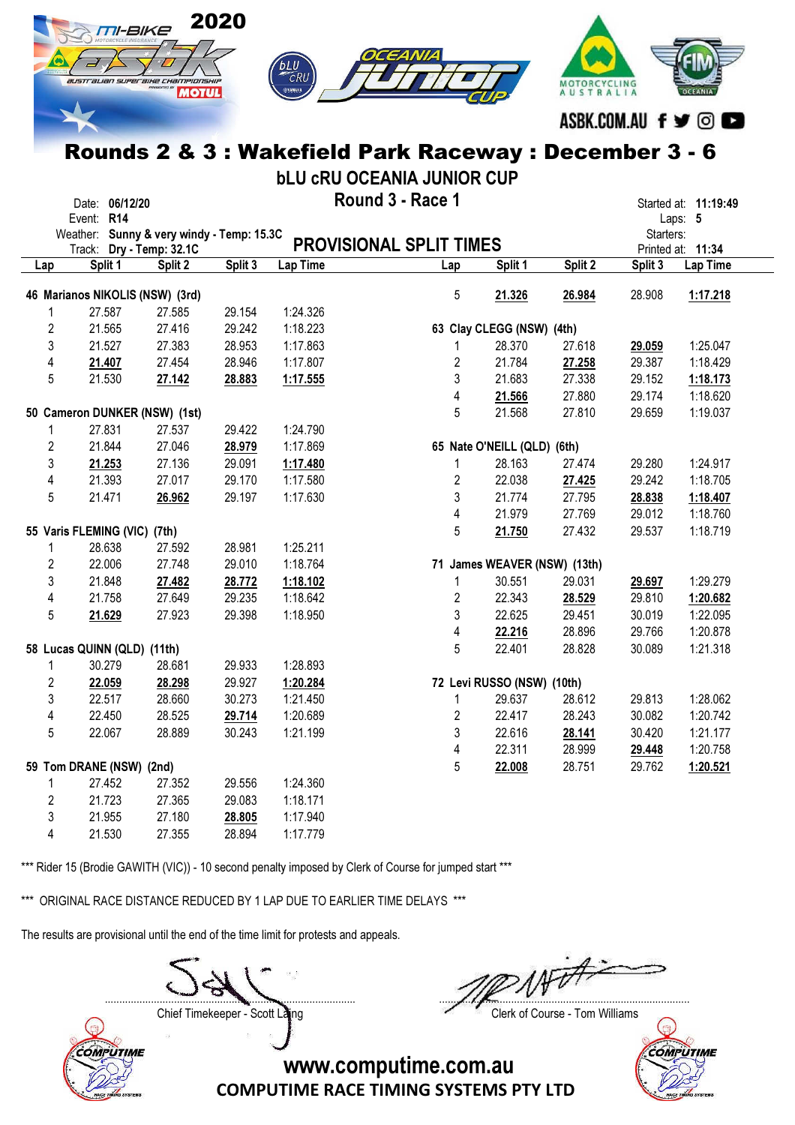

bLU cRU OCEANIA JUNIOR CUP

|                | Event: R14                   | Date: 06/12/20 |                                           |         |          | Round 3 - Race 1               |                              |         |           | Started at: 11:19:49<br>Laps: 5 |
|----------------|------------------------------|----------------|-------------------------------------------|---------|----------|--------------------------------|------------------------------|---------|-----------|---------------------------------|
|                |                              |                | Weather: Sunny & very windy - Temp: 15.3C |         |          |                                |                              |         | Starters: |                                 |
|                |                              |                | Track: Dry - Temp: 32.1C                  |         |          | <b>PROVISIONAL SPLIT TIMES</b> |                              |         |           | Printed at: 11:34               |
| Lap            |                              | Split 1        | Split 2                                   | Split 3 | Lap Time | Lap                            | Split 1                      | Split 2 | Split 3   | Lap Time                        |
|                |                              |                | 46 Marianos NIKOLIS (NSW) (3rd)           |         |          | 5                              | 21.326                       | 26.984  | 28.908    | 1:17.218                        |
| 1              |                              | 27.587         | 27.585                                    | 29.154  | 1:24.326 |                                |                              |         |           |                                 |
| $\overline{2}$ |                              | 21.565         | 27.416                                    | 29.242  | 1:18.223 |                                | 63 Clay CLEGG (NSW) (4th)    |         |           |                                 |
| 3              |                              | 21.527         | 27.383                                    | 28.953  | 1:17.863 | 1                              | 28.370                       | 27.618  | 29.059    | 1:25.047                        |
| 4              |                              |                | 27.454                                    | 28.946  | 1:17.807 | $\overline{2}$                 | 21.784                       |         | 29.387    | 1:18.429                        |
|                |                              | 21.407         |                                           |         |          |                                |                              | 27.258  |           |                                 |
| 5              |                              | 21.530         | 27.142                                    | 28.883  | 1:17.555 | 3                              | 21.683                       | 27.338  | 29.152    | 1:18.173                        |
|                |                              |                |                                           |         |          | 4                              | 21.566                       | 27.880  | 29.174    | 1:18.620                        |
|                |                              |                | 50 Cameron DUNKER (NSW) (1st)             |         |          | 5                              | 21.568                       | 27.810  | 29.659    | 1:19.037                        |
| 1              |                              | 27.831         | 27.537                                    | 29.422  | 1:24.790 |                                |                              |         |           |                                 |
| $\overline{2}$ |                              | 21.844         | 27.046                                    | 28.979  | 1:17.869 |                                | 65 Nate O'NEILL (QLD) (6th)  |         |           |                                 |
| 3              |                              | 21.253         | 27.136                                    | 29.091  | 1:17.480 | $\mathbf{1}$                   | 28.163                       | 27.474  | 29.280    | 1:24.917                        |
| 4              |                              | 21.393         | 27.017                                    | 29.170  | 1:17.580 | $\overline{2}$                 | 22.038                       | 27.425  | 29.242    | 1:18.705                        |
| 5              |                              | 21.471         | 26.962                                    | 29.197  | 1:17.630 | 3                              | 21.774                       | 27.795  | 28.838    | 1:18.407                        |
|                |                              |                |                                           |         |          | $\overline{\mathbf{4}}$        | 21.979                       | 27.769  | 29.012    | 1:18.760                        |
|                | 55 Varis FLEMING (VIC) (7th) |                |                                           |         |          | 5                              | 21.750                       | 27.432  | 29.537    | 1:18.719                        |
| 1              |                              | 28.638         | 27.592                                    | 28.981  | 1:25.211 |                                |                              |         |           |                                 |
| $\overline{2}$ |                              | 22.006         | 27.748                                    | 29.010  | 1:18.764 |                                | 71 James WEAVER (NSW) (13th) |         |           |                                 |
| 3              |                              | 21.848         | 27.482                                    | 28.772  | 1:18.102 | 1                              | 30.551                       | 29.031  | 29.697    | 1:29.279                        |
| 4              |                              | 21.758         | 27.649                                    | 29.235  | 1:18.642 | $\overline{2}$                 | 22.343                       | 28.529  | 29.810    | 1:20.682                        |
| 5              |                              | 21.629         | 27.923                                    | 29.398  | 1:18.950 | 3                              | 22.625                       | 29.451  | 30.019    | 1:22.095                        |
|                |                              |                |                                           |         |          | 4                              | 22.216                       | 28.896  | 29.766    | 1:20.878                        |
|                | 58 Lucas QUINN (QLD) (11th)  |                |                                           |         |          | 5                              | 22.401                       | 28.828  | 30.089    | 1:21.318                        |
| 1              |                              | 30.279         | 28.681                                    | 29.933  | 1:28.893 |                                |                              |         |           |                                 |
| $\overline{2}$ |                              | 22.059         | 28.298                                    | 29.927  | 1:20.284 |                                | 72 Levi RUSSO (NSW) (10th)   |         |           |                                 |
| 3              |                              | 22.517         | 28.660                                    | 30.273  | 1:21.450 | 1                              | 29.637                       | 28.612  | 29.813    | 1:28.062                        |
| 4              |                              | 22.450         | 28.525                                    | 29.714  | 1:20.689 | $\overline{2}$                 | 22.417                       | 28.243  | 30.082    | 1:20.742                        |
| 5              |                              | 22.067         | 28.889                                    | 30.243  | 1:21.199 | 3                              | 22.616                       | 28.141  | 30.420    | 1:21.177                        |
|                |                              |                |                                           |         |          | $\overline{\mathbf{4}}$        | 22.311                       | 28.999  | 29.448    | 1:20.758                        |
|                |                              |                |                                           |         |          | 5                              |                              | 28.751  | 29.762    |                                 |
|                | 59 Tom DRANE (NSW) (2nd)     | 27.452         | 27.352                                    | 29.556  | 1:24.360 |                                | 22.008                       |         |           | 1:20.521                        |
| 1              |                              |                |                                           |         |          |                                |                              |         |           |                                 |
| $\overline{2}$ |                              | 21.723         | 27.365                                    | 29.083  | 1:18.171 |                                |                              |         |           |                                 |
| 3              |                              | 21.955         | 27.180                                    | 28.805  | 1:17.940 |                                |                              |         |           |                                 |
| 4              |                              | 21.530         | 27.355                                    | 28.894  | 1:17.779 |                                |                              |         |           |                                 |

\*\*\* Rider 15 (Brodie GAWITH (VIC)) - 10 second penalty imposed by Clerk of Course for jumped start \*\*\*

\*\*\* ORIGINAL RACE DISTANCE REDUCED BY 1 LAP DUE TO EARLIER TIME DELAYS \*\*\*

The results are provisional until the end of the time limit for protests and appeals.

....................................................................................... .......................................................................................

Chief Timekeeper - Scott Laing Chief Timekeeper - Scott Laing



COMPUTIME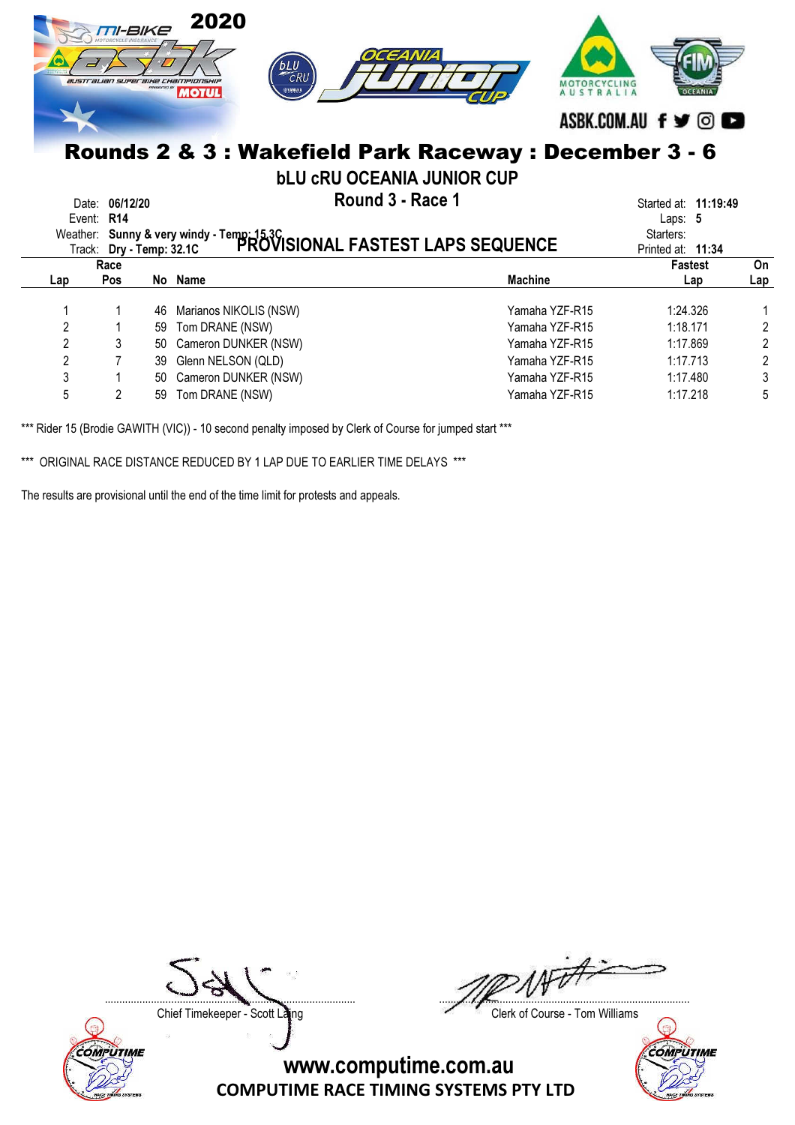|     | TI-BIKE                                                                                     | parceuten av | 2020<br>OCEANIA<br>bLU<br>$\overline{c}$ RU<br>australian superbihe championship<br><b>ФУАМАНА</b><br><b>MOTUL</b> | ASBK.COM.AU f y ©                              |                |  |  |  |  |  |  |  |
|-----|---------------------------------------------------------------------------------------------|--------------|--------------------------------------------------------------------------------------------------------------------|------------------------------------------------|----------------|--|--|--|--|--|--|--|
|     | Rounds 2 & 3 : Wakefield Park Raceway : December 3 - 6<br><b>bLU CRU OCEANIA JUNIOR CUP</b> |              |                                                                                                                    |                                                |                |  |  |  |  |  |  |  |
|     | Date: 06/12/20<br>Event: R14                                                                |              | Round 3 - Race 1                                                                                                   | Started at: 11:19:49<br>Laps: $5$<br>Starters: |                |  |  |  |  |  |  |  |
|     |                                                                                             |              | Weather: Sunny & very windy - Temp: 15.3C<br>Track: Dr. Temp: 32.1C PROVISIONAL FASTEST LAPS SEQUENCE              | Printed at: 11:34                              |                |  |  |  |  |  |  |  |
| Lap | Race<br><b>Pos</b>                                                                          |              | <b>Machine</b><br>No Name                                                                                          | <b>Fastest</b><br>Lap                          | On<br>Lap      |  |  |  |  |  |  |  |
|     |                                                                                             | 46           | Yamaha YZF-R15<br>Marianos NIKOLIS (NSW)                                                                           | 1:24.326                                       |                |  |  |  |  |  |  |  |
| 2   |                                                                                             | 59           | Yamaha YZF-R15<br>Tom DRANE (NSW)                                                                                  | 1:18.171                                       | $\overline{2}$ |  |  |  |  |  |  |  |
| 2   | 3                                                                                           | 50           | Cameron DUNKER (NSW)<br>Yamaha YZF-R15                                                                             | 1:17.869                                       | 2              |  |  |  |  |  |  |  |
| 2   |                                                                                             | 39           | Glenn NELSON (QLD)<br>Yamaha YZF-R15                                                                               | 1:17.713                                       | 2              |  |  |  |  |  |  |  |
| 3   |                                                                                             | 50           | Cameron DUNKER (NSW)<br>Yamaha YZF-R15                                                                             | 1:17.480                                       | 3              |  |  |  |  |  |  |  |
| 5   |                                                                                             | 59           | Tom DRANE (NSW)<br>Yamaha YZF-R15                                                                                  | 1:17.218                                       | 5              |  |  |  |  |  |  |  |

\*\*\* ORIGINAL RACE DISTANCE REDUCED BY 1 LAP DUE TO EARLIER TIME DELAYS \*\*\*

The results are provisional until the end of the time limit for protests and appeals.



Chief Timekeeper - Scott Laing Chief Timekeeper - Scott Laing

....................................................................................... .......................................................................................

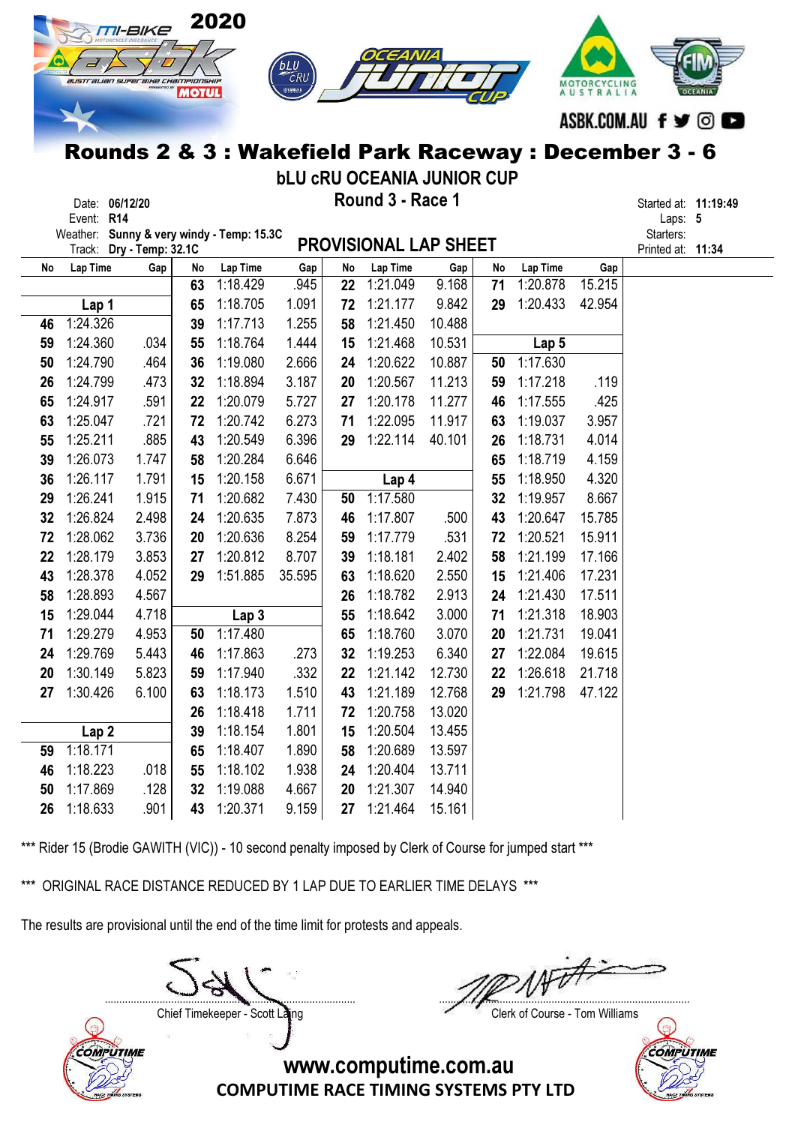

bLU cRU OCEANIA JUNIOR CUP

| Date:      | 06/12/20 | Round 3 - Race 1 | Started at: |   |
|------------|----------|------------------|-------------|---|
| Event: R14 |          |                  | Laps:       | ۵ |

Date: 06/12/20 **Example 20 and 3 - Round 3 - Race 1** and 20 and 20 and 20 and 20 and 20 and 20 and 20 and 20 and 20 and 20 and 20 and 20 and 20 and 20 and 20 and 20 and 20 and 20 and 20 and 20 and 20 and 20 and 20 and 20 a

Weather: Sunny & very windy - Temp: 15.3C Starters:

Printed at: 11:34

|    | Track:           | Dry - Temp: 32.1C |    | weather: Sunny & very windy - Temp: 15.30 |        |    | <b>PROVISIONAL LAP SHEET</b> |        |    |                  |        |
|----|------------------|-------------------|----|-------------------------------------------|--------|----|------------------------------|--------|----|------------------|--------|
| No | Lap Time         | Gap               | No | Lap Time                                  | Gap    | No | Lap Time                     | Gap    | No | Lap Time         | Gap    |
|    |                  |                   | 63 | 1:18.429                                  | .945   | 22 | 1:21.049                     | 9.168  | 71 | 1:20.878         | 15.215 |
|    | Lap 1            |                   | 65 | 1:18.705                                  | 1.091  | 72 | 1:21.177                     | 9.842  | 29 | 1:20.433         | 42.954 |
| 46 | 1:24.326         |                   | 39 | 1:17.713                                  | 1.255  | 58 | 1:21.450                     | 10.488 |    |                  |        |
| 59 | 1:24.360         | .034              | 55 | 1:18.764                                  | 1.444  | 15 | 1:21.468                     | 10.531 |    | Lap <sub>5</sub> |        |
| 50 | 1:24.790         | .464              | 36 | 1:19.080                                  | 2.666  | 24 | 1:20.622                     | 10.887 | 50 | 1:17.630         |        |
| 26 | 1:24.799         | .473              | 32 | 1:18.894                                  | 3.187  | 20 | 1:20.567                     | 11.213 | 59 | 1:17.218         | .119   |
| 65 | 1:24.917         | .591              | 22 | 1:20.079                                  | 5.727  | 27 | 1:20.178                     | 11.277 | 46 | 1:17.555         | .425   |
| 63 | 1:25.047         | .721              | 72 | 1:20.742                                  | 6.273  | 71 | 1:22.095                     | 11.917 | 63 | 1:19.037         | 3.957  |
| 55 | 1:25.211         | .885              | 43 | 1:20.549                                  | 6.396  | 29 | 1:22.114                     | 40.101 | 26 | 1:18.731         | 4.014  |
| 39 | 1:26.073         | 1.747             | 58 | 1:20.284                                  | 6.646  |    |                              |        | 65 | 1:18.719         | 4.159  |
| 36 | 1:26.117         | 1.791             | 15 | 1:20.158                                  | 6.671  |    | Lap 4                        |        | 55 | 1:18.950         | 4.320  |
| 29 | 1:26.241         | 1.915             | 71 | 1:20.682                                  | 7.430  | 50 | 1:17.580                     |        | 32 | 1:19.957         | 8.667  |
| 32 | 1:26.824         | 2.498             | 24 | 1:20.635                                  | 7.873  | 46 | 1:17.807                     | .500   | 43 | 1:20.647         | 15.785 |
| 72 | 1:28.062         | 3.736             | 20 | 1:20.636                                  | 8.254  | 59 | 1:17.779                     | .531   | 72 | 1:20.521         | 15.911 |
| 22 | 1:28.179         | 3.853             | 27 | 1:20.812                                  | 8.707  | 39 | 1:18.181                     | 2.402  | 58 | 1:21.199         | 17.166 |
| 43 | 1:28.378         | 4.052             | 29 | 1:51.885                                  | 35.595 | 63 | 1:18.620                     | 2.550  | 15 | 1:21.406         | 17.231 |
| 58 | 1:28.893         | 4.567             |    |                                           |        | 26 | 1:18.782                     | 2.913  | 24 | 1:21.430         | 17.511 |
| 15 | 1:29.044         | 4.718             |    | Lap <sub>3</sub>                          |        | 55 | 1:18.642                     | 3.000  | 71 | 1:21.318         | 18.903 |
| 71 | 1:29.279         | 4.953             | 50 | 1:17.480                                  |        | 65 | 1:18.760                     | 3.070  | 20 | 1:21.731         | 19.041 |
| 24 | 1:29.769         | 5.443             | 46 | 1:17.863                                  | .273   | 32 | 1:19.253                     | 6.340  | 27 | 1:22.084         | 19.615 |
| 20 | 1:30.149         | 5.823             | 59 | 1:17.940                                  | .332   | 22 | 1:21.142                     | 12.730 | 22 | 1:26.618         | 21.718 |
| 27 | 1:30.426         | 6.100             | 63 | 1:18.173                                  | 1.510  | 43 | 1:21.189                     | 12.768 | 29 | 1:21.798         | 47.122 |
|    |                  |                   | 26 | 1:18.418                                  | 1.711  | 72 | 1:20.758                     | 13.020 |    |                  |        |
|    | Lap <sub>2</sub> |                   | 39 | 1:18.154                                  | 1.801  | 15 | 1:20.504                     | 13.455 |    |                  |        |
| 59 | 1:18.171         |                   | 65 | 1:18.407                                  | 1.890  | 58 | 1:20.689                     | 13.597 |    |                  |        |
| 46 | 1:18.223         | .018              | 55 | 1:18.102                                  | 1.938  | 24 | 1:20.404                     | 13.711 |    |                  |        |
| 50 | 1:17.869         | .128              | 32 | 1:19.088                                  | 4.667  | 20 | 1:21.307                     | 14.940 |    |                  |        |
| 26 | 1:18.633         | .901              | 43 | 1:20.371                                  | 9.159  | 27 | 1:21.464                     | 15.161 |    |                  |        |

\*\*\* Rider 15 (Brodie GAWITH (VIC)) - 10 second penalty imposed by Clerk of Course for jumped start \*\*\*

\*\*\* ORIGINAL RACE DISTANCE REDUCED BY 1 LAP DUE TO EARLIER TIME DELAYS \*\*\*

The results are provisional until the end of the time limit for protests and appeals.

....................................................................................... .......................................................................................

Chief Timekeeper - Scott Laing Chief Timekeeper - Scott Laing



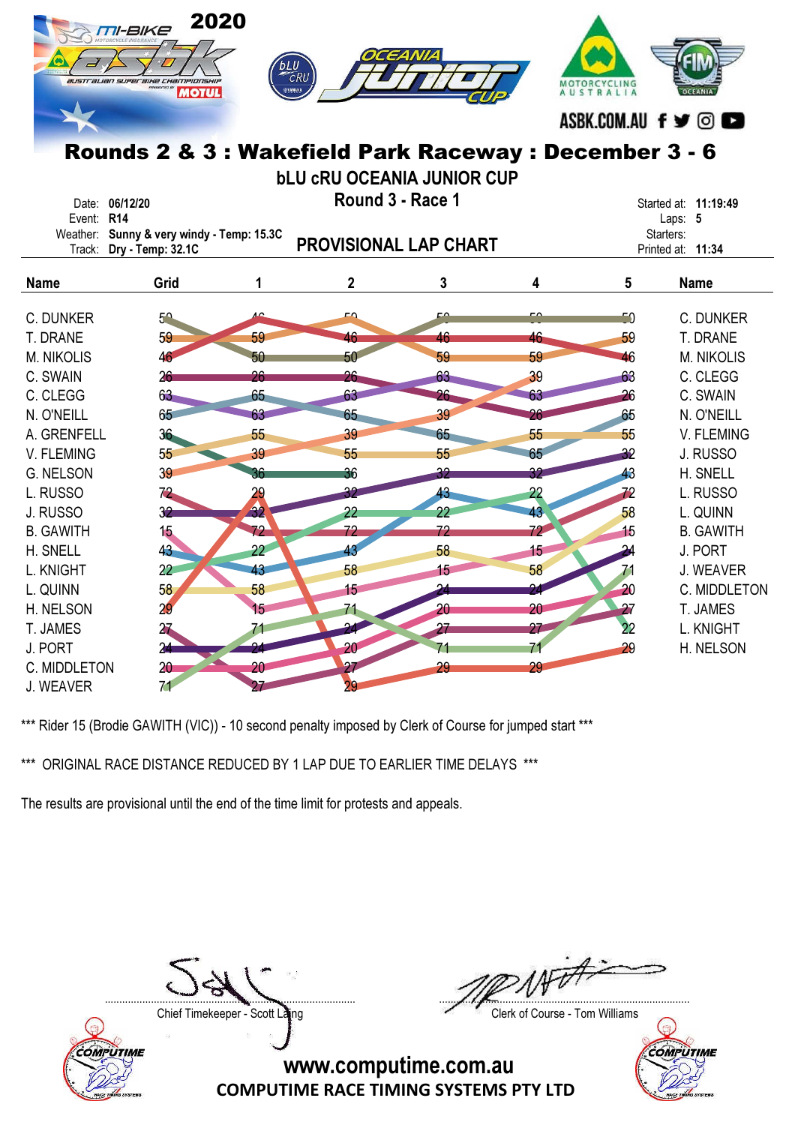|                               | 2020<br><b>TII-BIKE</b><br>australian superaixe championskip<br><b>MOTUL</b><br>Rounds 2 & 3 : Wakefield Park Raceway : December 3 - 6 | <b>bLU</b><br>CRU<br><b>EYAMAHA</b> |             | OCEANIA                           |                 | MOTORCYCLING<br>AUSTRALIA | ASBK.COM.AU f y ©             |
|-------------------------------|----------------------------------------------------------------------------------------------------------------------------------------|-------------------------------------|-------------|-----------------------------------|-----------------|---------------------------|-------------------------------|
|                               |                                                                                                                                        |                                     |             | <b>bLU CRU OCEANIA JUNIOR CUP</b> |                 |                           |                               |
|                               | Date: 06/12/20                                                                                                                         |                                     |             | Round 3 - Race 1                  |                 |                           | Started at: 11:19:49          |
| Event: R14                    |                                                                                                                                        |                                     |             |                                   |                 |                           | Laps: 5                       |
|                               | Weather: Sunny & very windy - Temp: 15.3C                                                                                              |                                     |             | <b>PROVISIONAL LAP CHART</b>      |                 |                           | Starters:                     |
|                               | Track: Dry - Temp: 32.1C                                                                                                               |                                     |             |                                   |                 |                           | Printed at: 11:34             |
| <b>Name</b>                   | Grid                                                                                                                                   | 1                                   | $\mathbf 2$ | 3                                 | 4               | 5                         | <b>Name</b>                   |
|                               |                                                                                                                                        | ے                                   | FΩ          | c۵                                |                 |                           |                               |
| C. DUNKER                     | $5^{\circ}$                                                                                                                            |                                     |             |                                   |                 | 50                        | C. DUNKER                     |
| T. DRANE<br><b>M. NIKOLIS</b> | 59                                                                                                                                     | 59                                  | 46<br>50    | 46<br>59                          | 46<br>59        | 59<br>46                  | T. DRANE<br><b>M. NIKOLIS</b> |
| C. SWAIN                      | 46<br>26                                                                                                                               | 50<br>26                            | 26          | 63                                | 39              | 63                        | C. CLEGG                      |
| C. CLEGG                      | 63                                                                                                                                     | 65                                  | 63          | 26                                |                 | 26                        | C. SWAIN                      |
| N. O'NEILL                    | 65                                                                                                                                     | 63                                  | 65          | 39                                | 26              | 65                        | N. O'NEILL                    |
| A. GRENFELL                   | 36                                                                                                                                     | 55                                  | 39          | 65                                | 55              | 55                        | V. FLEMING                    |
| V. FLEMING                    | 55                                                                                                                                     | 39                                  | 55          | 55                                | 65              | 32                        | J. RUSSO                      |
| <b>G. NELSON</b>              | 39                                                                                                                                     | 36                                  | 36          | 32                                | 32              | 43                        | H. SNELL                      |
| L. RUSSO                      | 72                                                                                                                                     | 29                                  | 32          | 43                                | 22              | 72                        | L. RUSSO                      |
| J. RUSSO                      | 32                                                                                                                                     | $\overline{32}$                     | 22          | 22                                | 43              | 58                        | L. QUINN                      |
| <b>B. GAWITH</b>              | 15                                                                                                                                     | 72                                  | 72          | 72                                | 72 <sup>°</sup> | 15                        | <b>B. GAWITH</b>              |
| H. SNELL                      | 43                                                                                                                                     | 22 <sup>2</sup>                     | 43          | 58                                | 15              |                           | J. PORT                       |
| L. KNIGHT                     | $22\,$                                                                                                                                 | 43                                  | 58          | 15                                | 58              | 71                        | J. WEAVER                     |
| L. QUINN                      | 58                                                                                                                                     | 58                                  | 15          |                                   | 91              | $\overline{20}$           | C. MIDDLETON                  |
| H. NELSON                     | 29                                                                                                                                     | 15                                  | 71          | 20                                | 20              | $\overline{27}$           | T. JAMES                      |
| T. JAMES                      | 27                                                                                                                                     |                                     |             | 27                                | 27              | 22                        | L. KNIGHT                     |
| J. PORT                       | $\overline{24}$                                                                                                                        |                                     | 20          | 71                                |                 | 29                        | H. NELSON                     |
| C. MIDDLETON                  | 20                                                                                                                                     | 20 <sup>°</sup>                     | 27          | 29                                | 29              |                           |                               |
| J. WEAVER                     | 71                                                                                                                                     |                                     | 29          |                                   |                 |                           |                               |

\*\*\* ORIGINAL RACE DISTANCE REDUCED BY 1 LAP DUE TO EARLIER TIME DELAYS \*\*\*

The results are provisional until the end of the time limit for protests and appeals.



....................................................................................... .......................................................................................

Chief Timekeeper - Scott Laing Chief Timekeeper - Scott Laing

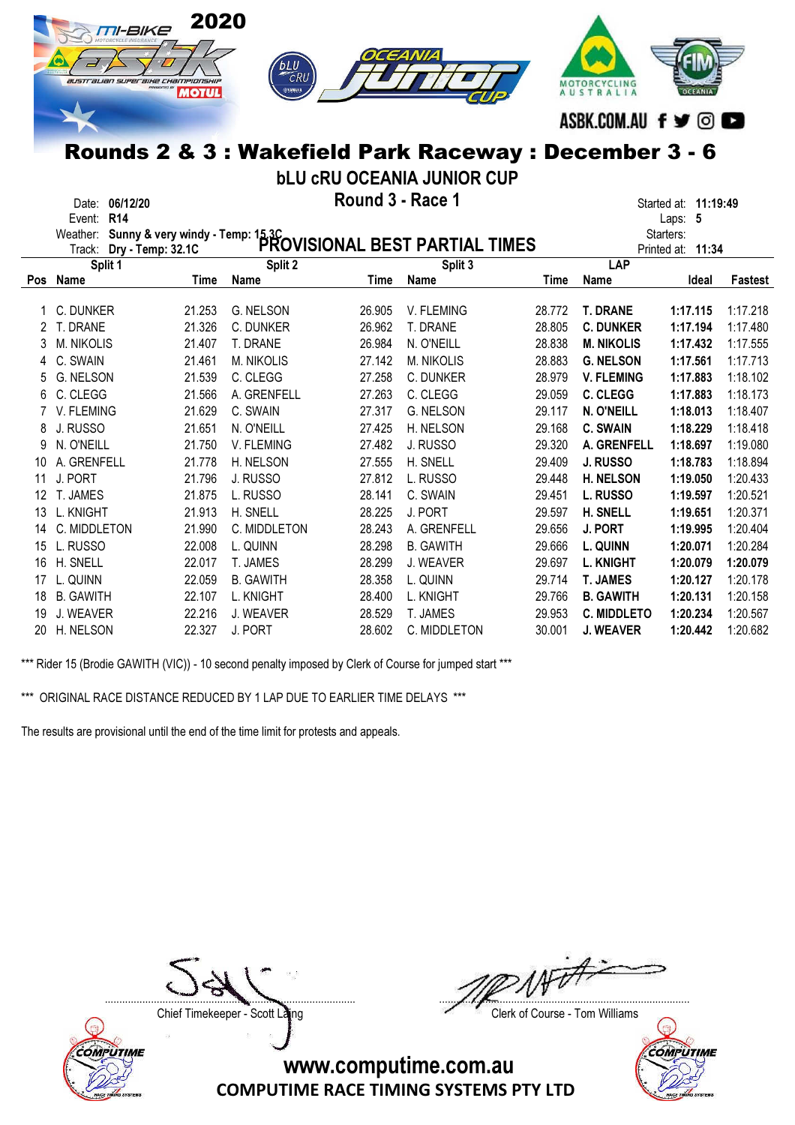

bLU cRU OCEANIA JUNIOR CUP

Date: 06/12/20 **Example 20 and 3 - Round 3 - Race 1** and 20 and 20 and 20 and 20 and 20 and 20 and 20 and 20 and 20 and 20 and 20 and 20 and 20 and 20 and 20 and 20 and 20 and 20 and 20 and 20 and 20 and 20 and 20 and 20 a

| Date:  | <b>U6/12/20</b> | NUUIIU J <del>-</del> Naut | started at: | ា1:19 |
|--------|-----------------|----------------------------|-------------|-------|
| Event: | <b>R14</b>      |                            | ∟aps:       |       |

|            | Weather: Sunny & very windy - Temp: 15.3C<br>Track: Drv - Temp: 32.1C PROVISIONAL BEST PARTIAL TIMES |        | Starters:         |        |                  |        |                    |          |          |
|------------|------------------------------------------------------------------------------------------------------|--------|-------------------|--------|------------------|--------|--------------------|----------|----------|
|            | Dry - Temp: 32.1C                                                                                    |        |                   |        |                  |        | Printed at:        | 11:34    |          |
|            | Split 1                                                                                              |        | Split 2           |        | Split 3          |        | LAP                |          |          |
| <b>Pos</b> | Name                                                                                                 | Time   | Name              | Time   | Name             | Time   | Name               | Ideal    | Fastest  |
|            | C. DUNKER                                                                                            | 21.253 | G. NELSON         | 26.905 | V. FLEMING       | 28.772 | <b>T. DRANE</b>    | 1:17.115 | 1:17.218 |
|            | T. DRANE                                                                                             | 21.326 | C. DUNKER         | 26.962 | T. DRANE         | 28.805 | <b>C. DUNKER</b>   | 1:17.194 | 1:17.480 |
|            | <b>M. NIKOLIS</b>                                                                                    | 21.407 | T. DRANE          | 26.984 | N. O'NEILL       | 28.838 | <b>M. NIKOLIS</b>  | 1:17.432 | 1:17.555 |
| 4          | C. SWAIN                                                                                             | 21.461 | <b>M. NIKOLIS</b> | 27.142 | M. NIKOLIS       | 28.883 | <b>G. NELSON</b>   | 1:17.561 | 1:17.713 |
| 5          | G. NELSON                                                                                            | 21.539 | C. CLEGG          | 27.258 | C. DUNKER        | 28.979 | <b>V. FLEMING</b>  | 1:17.883 | 1:18.102 |
| 6.         | C. CLEGG                                                                                             | 21.566 | A. GRENFELL       | 27.263 | C. CLEGG         | 29.059 | <b>C. CLEGG</b>    | 1:17.883 | 1:18.173 |
|            | V. FLEMING                                                                                           | 21.629 | C. SWAIN          | 27.317 | G. NELSON        | 29.117 | N. O'NEILL         | 1:18.013 | 1:18.407 |
| 8          | J. RUSSO                                                                                             | 21.651 | N. O'NEILL        | 27.425 | H. NELSON        | 29.168 | <b>C. SWAIN</b>    | 1:18.229 | 1:18.418 |
| 9          | N. O'NEILL                                                                                           | 21.750 | V. FLEMING        | 27.482 | J. RUSSO         | 29.320 | A. GRENFELL        | 1:18.697 | 1:19.080 |
| 10         | A. GRENFELL                                                                                          | 21.778 | H. NELSON         | 27.555 | H. SNELL         | 29.409 | <b>J. RUSSO</b>    | 1:18.783 | 1:18.894 |
| 11         | J. PORT                                                                                              | 21.796 | J. RUSSO          | 27.812 | L. RUSSO         | 29.448 | <b>H. NELSON</b>   | 1:19.050 | 1:20.433 |
| 12         | T. JAMES                                                                                             | 21.875 | L. RUSSO          | 28.141 | C. SWAIN         | 29.451 | <b>L. RUSSO</b>    | 1:19.597 | 1:20.521 |
| 13         | L. KNIGHT                                                                                            | 21.913 | H. SNELL          | 28.225 | J. PORT          | 29.597 | <b>H. SNELL</b>    | 1:19.651 | 1:20.371 |
| 14         | C. MIDDLETON                                                                                         | 21.990 | C. MIDDLETON      | 28.243 | A. GRENFELL      | 29.656 | <b>J. PORT</b>     | 1:19.995 | 1:20.404 |
| 15         | L. RUSSO                                                                                             | 22.008 | L. QUINN          | 28.298 | <b>B. GAWITH</b> | 29.666 | <b>L. QUINN</b>    | 1:20.071 | 1:20.284 |
| 16         | H. SNELL                                                                                             | 22.017 | T. JAMES          | 28.299 | J. WEAVER        | 29.697 | <b>L. KNIGHT</b>   | 1:20.079 | 1:20.079 |
| 17         | L. QUINN                                                                                             | 22.059 | <b>B. GAWITH</b>  | 28.358 | L. QUINN         | 29.714 | <b>T. JAMES</b>    | 1:20.127 | 1:20.178 |
| 18         | <b>B. GAWITH</b>                                                                                     | 22.107 | L. KNIGHT         | 28.400 | L. KNIGHT        | 29.766 | <b>B. GAWITH</b>   | 1:20.131 | 1:20.158 |
| 19         | J. WEAVER                                                                                            | 22.216 | J. WEAVER         | 28.529 | T. JAMES         | 29.953 | <b>C. MIDDLETO</b> | 1:20.234 | 1:20.567 |
| 20         | H. NELSON                                                                                            | 22.327 | J. PORT           | 28.602 | C. MIDDLETON     | 30.001 | <b>J. WEAVER</b>   | 1:20.442 | 1:20.682 |

\*\*\* Rider 15 (Brodie GAWITH (VIC)) - 10 second penalty imposed by Clerk of Course for jumped start \*\*\*

\*\*\* ORIGINAL RACE DISTANCE REDUCED BY 1 LAP DUE TO EARLIER TIME DELAYS \*\*\*

The results are provisional until the end of the time limit for protests and appeals.



....................................................................................... .......................................................................................

Chief Timekeeper - Scott Laing Chief Timekeeper - Scott Laing

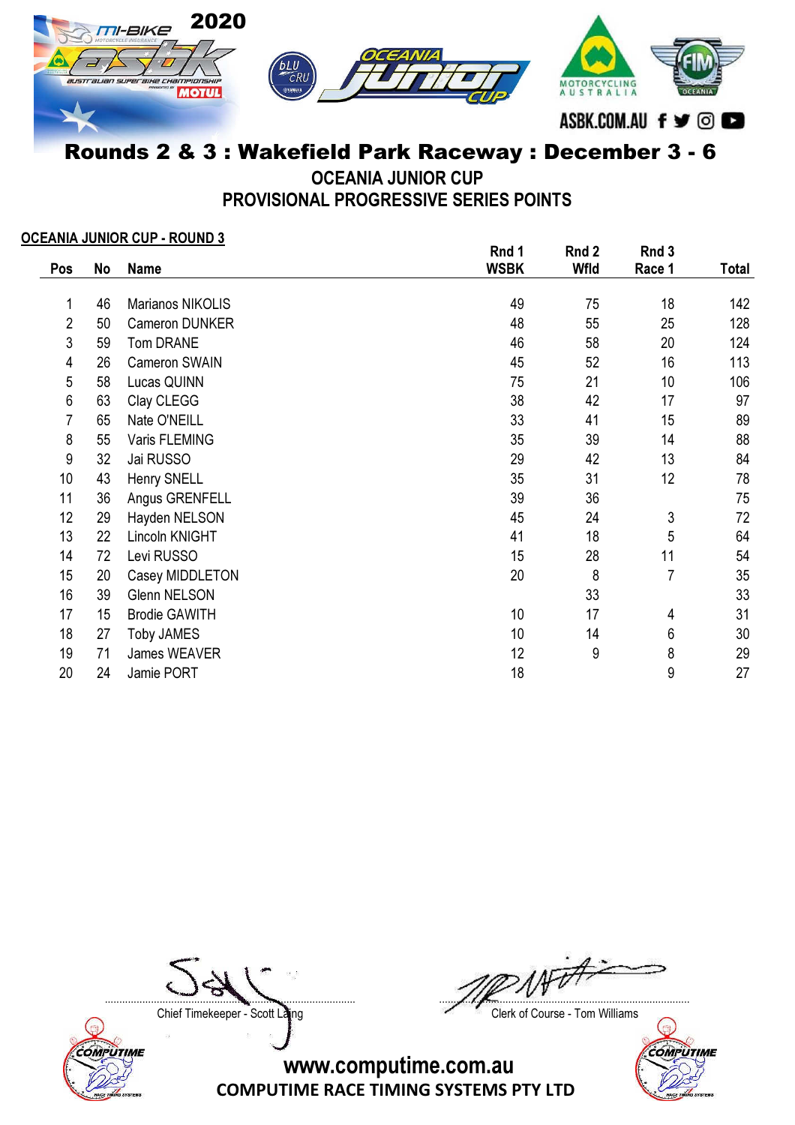

OCEANIA JUNIOR CUP

PROVISIONAL PROGRESSIVE SERIES POINTS

## OCEANIA JUNIOR CUP - ROUND 3

|     |    |                      | Rnd 1       | Rnd 2 | Rnd 3          |       |
|-----|----|----------------------|-------------|-------|----------------|-------|
| Pos | No | <b>Name</b>          | <b>WSBK</b> | Wfld  | Race 1         | Total |
| 1   | 46 | Marianos NIKOLIS     | 49          | 75    | 18             | 142   |
| 2   | 50 | Cameron DUNKER       | 48          | 55    | 25             | 128   |
| 3   | 59 | Tom DRANE            | 46          | 58    | 20             | 124   |
| 4   | 26 | Cameron SWAIN        | 45          | 52    | 16             | 113   |
| 5   | 58 | Lucas QUINN          | 75          | 21    | 10             | 106   |
| 6   | 63 | Clay CLEGG           | 38          | 42    | 17             | 97    |
| 7   | 65 | Nate O'NEILL         | 33          | 41    | 15             | 89    |
| 8   | 55 | Varis FLEMING        | 35          | 39    | 14             | 88    |
| 9   | 32 | Jai RUSSO            | 29          | 42    | 13             | 84    |
| 10  | 43 | Henry SNELL          | 35          | 31    | 12             | 78    |
| 11  | 36 | Angus GRENFELL       | 39          | 36    |                | 75    |
| 12  | 29 | Hayden NELSON        | 45          | 24    | 3              | 72    |
| 13  | 22 | Lincoln KNIGHT       | 41          | 18    | 5              | 64    |
| 14  | 72 | Levi RUSSO           | 15          | 28    | 11             | 54    |
| 15  | 20 | Casey MIDDLETON      | 20          | 8     | $\overline{7}$ | 35    |
| 16  | 39 | <b>Glenn NELSON</b>  |             | 33    |                | 33    |
| 17  | 15 | <b>Brodie GAWITH</b> | 10          | 17    | 4              | 31    |
| 18  | 27 | <b>Toby JAMES</b>    | 10          | 14    | 6              | 30    |
| 19  | 71 | James WEAVER         | 12          | 9     | 8              | 29    |
| 20  | 24 | Jamie PORT           | 18          |       | 9              | 27    |



....................................................................................... .......................................................................................

Chief Timekeeper - Scott Laing Chief Timekeeper - Scott Laing